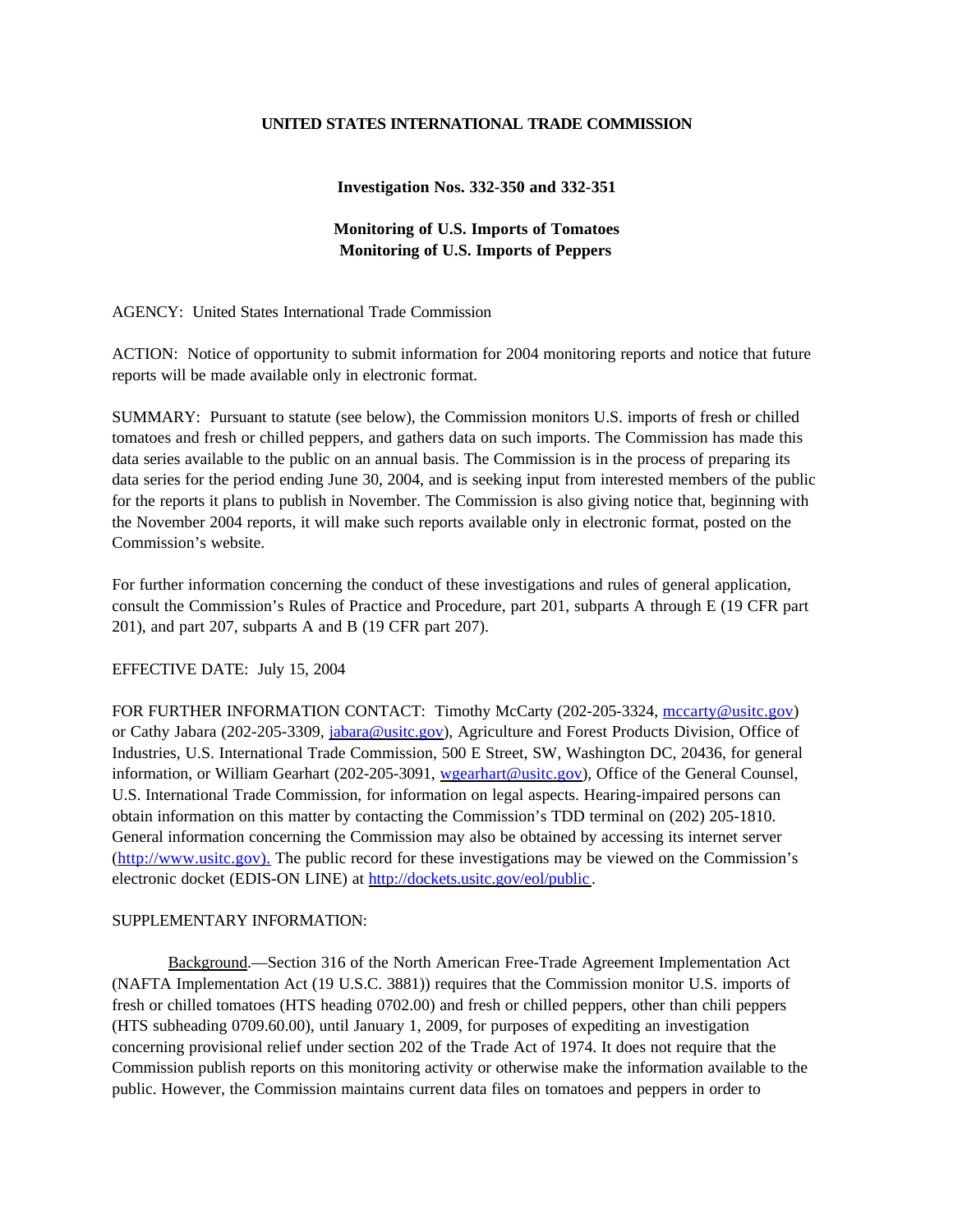## **UNITED STATES INTERNATIONAL TRADE COMMISSION**

## **Investigation Nos. 332-350 and 332-351**

## **Monitoring of U.S. Imports of Tomatoes Monitoring of U.S. Imports of Peppers**

AGENCY: United States International Trade Commission

ACTION: Notice of opportunity to submit information for 2004 monitoring reports and notice that future reports will be made available only in electronic format.

SUMMARY: Pursuant to statute (see below), the Commission monitors U.S. imports of fresh or chilled tomatoes and fresh or chilled peppers, and gathers data on such imports. The Commission has made this data series available to the public on an annual basis. The Commission is in the process of preparing its data series for the period ending June 30, 2004, and is seeking input from interested members of the public for the reports it plans to publish in November. The Commission is also giving notice that, beginning with the November 2004 reports, it will make such reports available only in electronic format, posted on the Commission's website.

For further information concerning the conduct of these investigations and rules of general application, consult the Commission's Rules of Practice and Procedure, part 201, subparts A through E (19 CFR part 201), and part 207, subparts A and B (19 CFR part 207).

EFFECTIVE DATE: July 15, 2004

FOR FURTHER INFORMATION CONTACT: Timothy McCarty (202-205-3324, mccarty@usitc.gov) or Cathy Jabara (202-205-3309, jabara@usitc.gov), Agriculture and Forest Products Division, Office of Industries, U.S. International Trade Commission, 500 E Street, SW, Washington DC, 20436, for general information, or William Gearhart (202-205-3091, wgearhart@usitc.gov), Office of the General Counsel, U.S. International Trade Commission, for information on legal aspects. Hearing-impaired persons can obtain information on this matter by contacting the Commission's TDD terminal on (202) 205-1810. General information concerning the Commission may also be obtained by accessing its internet server (http://www.usitc.gov). The public record for these investigations may be viewed on the Commission's electronic docket (EDIS-ON LINE) at http://dockets.usitc.gov/eol/public .

## SUPPLEMENTARY INFORMATION:

Background.—Section 316 of the North American Free-Trade Agreement Implementation Act (NAFTA Implementation Act (19 U.S.C. 3881)) requires that the Commission monitor U.S. imports of fresh or chilled tomatoes (HTS heading 0702.00) and fresh or chilled peppers, other than chili peppers (HTS subheading 0709.60.00), until January 1, 2009, for purposes of expediting an investigation concerning provisional relief under section 202 of the Trade Act of 1974. It does not require that the Commission publish reports on this monitoring activity or otherwise make the information available to the public. However, the Commission maintains current data files on tomatoes and peppers in order to